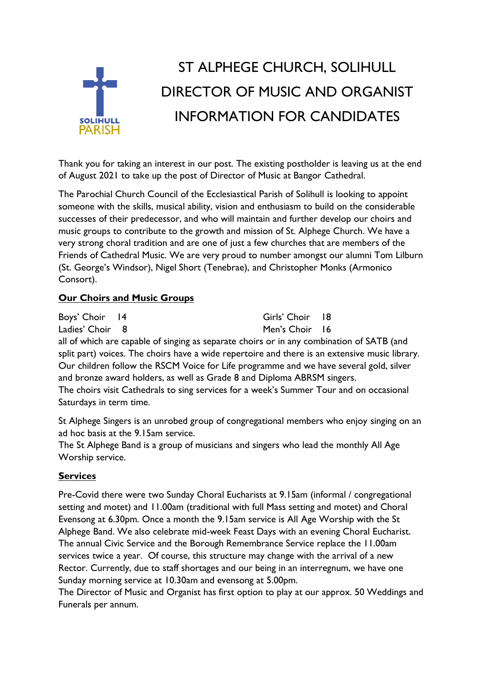

Thank you for taking an interest in our post. The existing postholder is leaving us at the end of August 2021 to take up the post of Director of Music at Bangor Cathedral.

The Parochial Church Council of the Ecclesiastical Parish of Solihull is looking to appoint someone with the skills, musical ability, vision and enthusiasm to build on the considerable successes of their predecessor, and who will maintain and further develop our choirs and music groups to contribute to the growth and mission of St. Alphege Church. We have a very strong choral tradition and are one of just a few churches that are members of the Friends of Cathedral Music. We are very proud to number amongst our alumni Tom Lilburn (St. George's Windsor), Nigel Short (Tenebrae), and Christopher Monks (Armonico Consort).

#### **Our Choirs and Music Groups**

| Boys' Choir 14  | Girls' Choir 18 |  |
|-----------------|-----------------|--|
| Ladies' Choir 8 | Men's Choir 16  |  |

all of which are capable of singing as separate choirs or in any combination of SATB (and split part) voices. The choirs have a wide repertoire and there is an extensive music library. Our children follow the RSCM Voice for Life programme and we have several gold, silver and bronze award holders, as well as Grade 8 and Diploma ABRSM singers. The choirs visit Cathedrals to sing services for a week's Summer Tour and on occasional Saturdays in term time.

St Alphege Singers is an unrobed group of congregational members who enjoy singing on an ad hoc basis at the 9.15am service.

The St Alphege Band is a group of musicians and singers who lead the monthly All Age Worship service.

## **Services**

Pre-Covid there were two Sunday Choral Eucharists at 9.15am (informal / congregational setting and motet) and 11.00am (traditional with full Mass setting and motet) and Choral Evensong at 6.30pm. Once a month the 9.15am service is All Age Worship with the St Alphege Band. We also celebrate mid-week Feast Days with an evening Choral Eucharist. The annual Civic Service and the Borough Remembrance Service replace the 11.00am services twice a year. Of course, this structure may change with the arrival of a new Rector. Currently, due to staff shortages and our being in an interregnum, we have one Sunday morning service at 10.30am and evensong at 5.00pm.

The Director of Music and Organist has first option to play at our approx. 50 Weddings and Funerals per annum.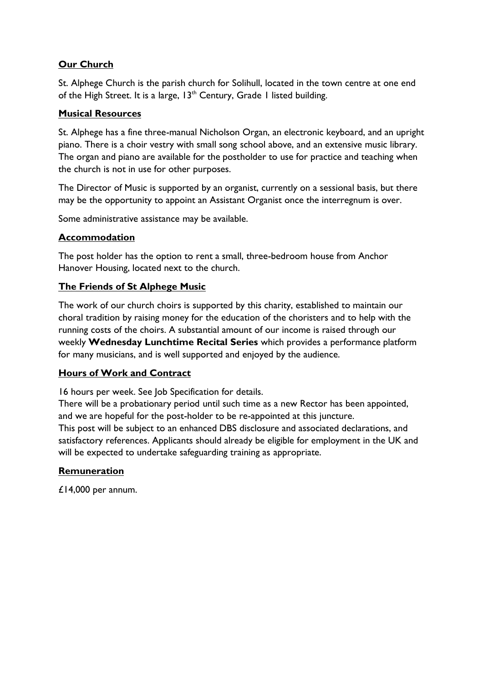# **Our Church**

St. Alphege Church is the parish church for Solihull, located in the town centre at one end of the High Street. It is a large, 13<sup>th</sup> Century, Grade 1 listed building.

#### **Musical Resources**

St. Alphege has a fine three-manual Nicholson Organ, an electronic keyboard, and an upright piano. There is a choir vestry with small song school above, and an extensive music library. The organ and piano are available for the postholder to use for practice and teaching when the church is not in use for other purposes.

The Director of Music is supported by an organist, currently on a sessional basis, but there may be the opportunity to appoint an Assistant Organist once the interregnum is over.

Some administrative assistance may be available.

## **Accommodation**

The post holder has the option to rent a small, three-bedroom house from Anchor Hanover Housing, located next to the church.

## **The Friends of St Alphege Music**

The work of our church choirs is supported by this charity, established to maintain our choral tradition by raising money for the education of the choristers and to help with the running costs of the choirs. A substantial amount of our income is raised through our weekly **Wednesday Lunchtime Recital Series** which provides a performance platform for many musicians, and is well supported and enjoyed by the audience.

## **Hours of Work and Contract**

16 hours per week. See Job Specification for details.

There will be a probationary period until such time as a new Rector has been appointed, and we are hopeful for the post-holder to be re-appointed at this juncture. This post will be subject to an enhanced DBS disclosure and associated declarations, and satisfactory references. Applicants should already be eligible for employment in the UK and will be expected to undertake safeguarding training as appropriate.

## **Remuneration**

£14,000 per annum.